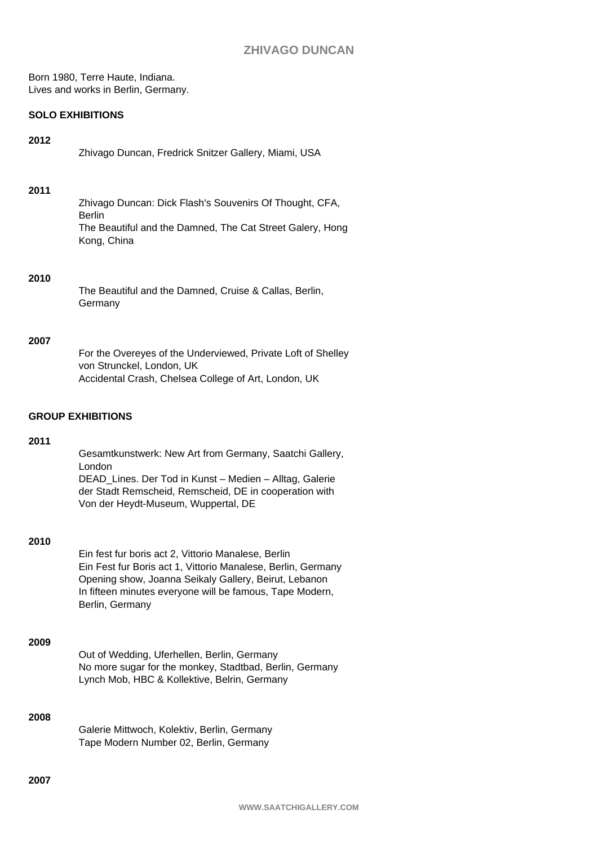Born 1980, Terre Haute, Indiana. Lives and works in Berlin, Germany.

# **SOLO EXHIBITIONS**

## **2012**

| Zhivago Duncan, Fredrick Snitzer Gallery, Miami, USA |  |  |  |
|------------------------------------------------------|--|--|--|
|                                                      |  |  |  |

## **2011**

Zhivago Duncan: Dick Flash's Souvenirs Of Thought, CFA, Berlin The Beautiful and the Damned, The Cat Street Galery, Hong Kong, China

## **2010**

The Beautiful and the Damned, Cruise & Callas, Berlin, **Germany** 

## **2007**

| For the Overeyes of the Underviewed, Private Loft of Shelley |
|--------------------------------------------------------------|
| von Strunckel. London. UK                                    |
| Accidental Crash, Chelsea College of Art, London, UK         |

# **GROUP EXHIBITIONS**

## **2011**

Gesamtkunstwerk: New Art from Germany, Saatchi Gallery, London DEAD\_Lines. Der Tod in Kunst – Medien – Alltag, Galerie der Stadt Remscheid, Remscheid, DE in cooperation with Von der Heydt-Museum, Wuppertal, DE

#### **2010**

Ein fest fur boris act 2, Vittorio Manalese, Berlin Ein Fest fur Boris act 1, Vittorio Manalese, Berlin, Germany Opening show, Joanna Seikaly Gallery, Beirut, Lebanon In fifteen minutes everyone will be famous, Tape Modern, Berlin, Germany

# **2009**

Out of Wedding, Uferhellen, Berlin, Germany No more sugar for the monkey, Stadtbad, Berlin, Germany Lynch Mob, HBC & Kollektive, Belrin, Germany

# **2008**

Galerie Mittwoch, Kolektiv, Berlin, Germany Tape Modern Number 02, Berlin, Germany